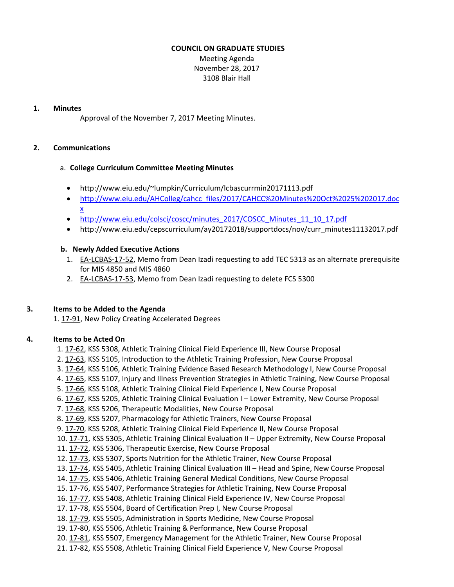# **COUNCIL ON GRADUATE STUDIES**

Meeting Agenda November 28, 2017 3108 Blair Hall

#### **1. Minutes**

Approval of the [November](http://castle.eiu.edu/eiucgs/currentminutes/Minutes11-7-17.pdf) 7, 2017 Meeting Minutes.

## **2. Communications**

#### a. **College Curriculum Committee Meeting Minutes**

- <http://www.eiu.edu/~lumpkin/Curriculum/lcbascurrmin20171113.pdf>
- [http://www.eiu.edu/AHColleg/cahcc\\_files/2017/CAHCC%20Minutes%20Oct%2025%](http://www.eiu.edu/AHColleg/cahcc_files/2017/CAHCC%20Minutes%20Oct%2025%202017.docx)202017.doc x
- [http://www.eiu.edu/colsci/coscc/minutes\\_2017/COSCC\\_Minutes\\_11\\_10\\_17.pdf](http://www.eiu.edu/colsci/coscc/minutes_2017/COSCC_Minutes_11_10_17.pdf)
- [http://www.eiu.edu/cepscurriculum/ay20172018/supportdocs/nov/curr\\_minutes11132017.pd](http://www.eiu.edu/cepscurriculum/ay20172018/supportdocs/nov/curr_minutes11132017.pdf)f

## **b. Newly Added Executive Actions**

- 1. EA-[LCBAS](http://castle.eiu.edu/eiucgs/exec-actions/EA-LCBAS-17-52.pdf)-17-52, Memo from Dean Izadi requesting to add TEC 5313 as an alternate prerequisite for MIS 4850 and MIS 4860
- 2. EA‐[LCBAS](http://castle.eiu.edu/eiucgs/exec-actions/EA-LCBAS-17-53.pdf)‐17‐53, Memo from Dean Izadi requesting to delete FCS 5300

## **3. Items to be Added to the Agenda**

1. [17](http://castle.eiu.edu/eiucgs/currentagendaitems/agenda17-91.pdf)‐91, New Policy Creating Accelerated Degrees

## **4. Items to be Acted On**

- 1[. 17](http://castle.eiu.edu/eiucgs/currentagendaitems/agenda17-62.pdf)‐62, KSS 5308, Athletic Training Clinical Field Experience III, New Course Proposal
- 2[. 17](http://castle.eiu.edu/eiucgs/currentagendaitems/agenda17-63.pdf)‐63, KSS 5105, Introduction to the Athletic Training Profession, New Course Proposal
- 3. [17](http://castle.eiu.edu/eiucgs/currentagendaitems/agenda17-64.pdf)‐64, KSS 5106, Athletic Training Evidence Based Research Methodology I, New Course Proposal
- 4. 17‐[65,](http://castle.eiu.edu/eiucgs/currentagendaitems/agenda17-65.pdf) KSS 5107, Injury and Illness Prevention Strategies in Athletic Training, New Course Proposal
- 5. 17‐[66,](http://castle.eiu.edu/eiucgs/currentagendaitems/agenda17-66.pdf) KSS 5108, Athletic Training Clinical Field Experience I, New Course Proposal
- 6. 17‐[67,](http://castle.eiu.edu/eiucgs/currentagendaitems/agenda17-67.pdf) KSS 5205, Athletic Training Clinical Evaluation I Lower Extremity, New Course Proposal
- 7[. 17](http://castle.eiu.edu/eiucgs/currentagendaitems/agenda17-68.pdf)‐68, KSS 5206, Therapeutic Modalities, New Course Proposal
- 8. 17‐[69,](http://castle.eiu.edu/eiucgs/currentagendaitems/agenda17-69.pdf) KSS 5207, Pharmacology for Athletic Trainers, New Course Proposal
- 9[. 17](http://castle.eiu.edu/eiucgs/currentagendaitems/agenda17-70.pdf)‐70, KSS 5208, Athletic Training Clinical Field Experience II, New Course Proposal
- 1[0. 17](http://castle.eiu.edu/eiucgs/currentagendaitems/agenda17-71.pdf)-71, KSS 5305, Athletic Training Clinical Evaluation II Upper Extremity, New Course Proposal
- 11. [17](http://castle.eiu.edu/eiucgs/currentagendaitems/agenda17-72.pdf)-72, KSS 5306, Therapeutic Exercise, New Course Proposal
- 12[. 17](http://castle.eiu.edu/eiucgs/currentagendaitems/agenda17-73.pdf)‐73, KSS 5307, Sports Nutrition for the Athletic Trainer, New Course Proposal
- 13. 17-[74,](http://castle.eiu.edu/eiucgs/currentagendaitems/agenda17-74.pdf) KSS 5405, Athletic Training Clinical Evaluation III Head and Spine, New Course Proposal
- 14. 17‐[75,](http://castle.eiu.edu/eiucgs/currentagendaitems/agenda17-75.pdf) KSS 5406, Athletic Training General Medical Conditions, New Course Proposal
- 15. [17](http://castle.eiu.edu/eiucgs/currentagendaitems/agenda17-76.pdf)‐76, KSS 5407, Performance Strategies for Athletic Training, New Course Proposal
- 16. [17](http://castle.eiu.edu/eiucgs/currentagendaitems/agenda17-77.pdf)‐77, KSS 5408, Athletic Training Clinical Field Experience IV, New Course Proposal
- 17[. 17](http://castle.eiu.edu/eiucgs/currentagendaitems/agenda17-78.pdf)‐78, KSS 5504, Board of Certification Prep I, New Course Proposal
- 18[. 17](http://castle.eiu.edu/eiucgs/currentagendaitems/agenda17-79.pdf)‐79, KSS 5505, Administration in Sports Medicine, New Course Proposal
- 19. 17‐[80,](http://castle.eiu.edu/eiucgs/currentagendaitems/agenda17-80.pdf) KSS 5506, Athletic Training & Performance, New Course Proposal
- 20[. 17](http://castle.eiu.edu/eiucgs/currentagendaitems/agenda17-81.pdf)-81, KSS 5507, Emergency Management for the Athletic Trainer, New Course Proposal
- 2[1. 17](http://castle.eiu.edu/eiucgs/currentagendaitems/agenda17-82.pdf)-82, KSS 5508, Athletic Training Clinical Field Experience V, New Course Proposal